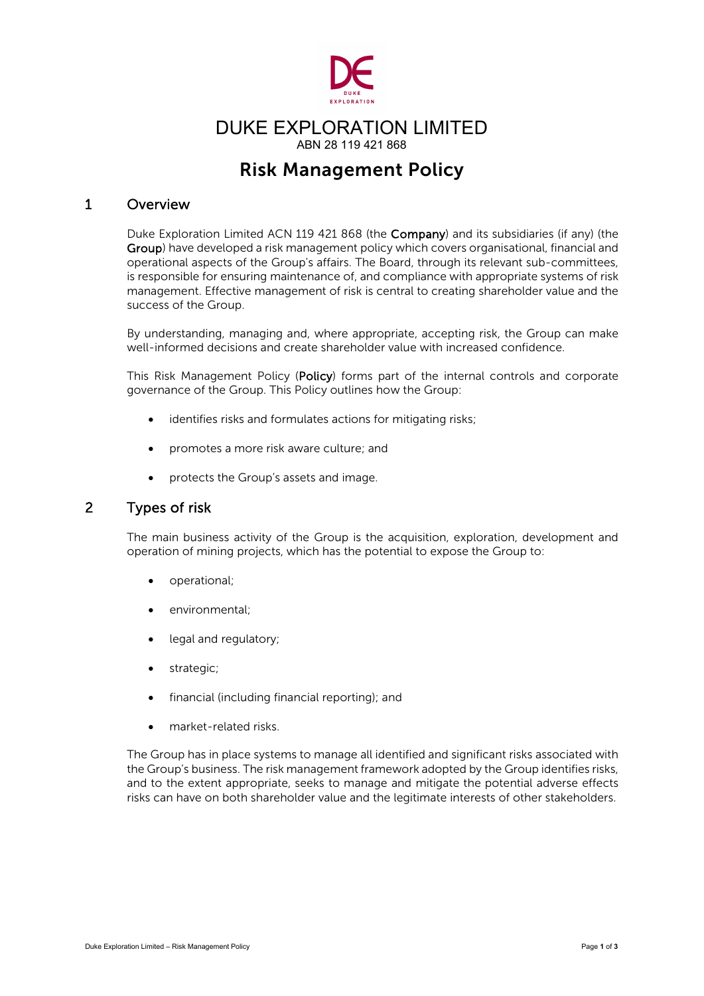

# DUKE EXPLORATION LIMITED ABN 28 119 421 868

# Risk Management Policy

# 1 Overview

Duke Exploration Limited ACN 119 421 868 (the Company) and its subsidiaries (if any) (the Group) have developed a risk management policy which covers organisational, financial and operational aspects of the Group's affairs. The Board, through its relevant sub-committees, is responsible for ensuring maintenance of, and compliance with appropriate systems of risk management. Effective management of risk is central to creating shareholder value and the success of the Group.

By understanding, managing and, where appropriate, accepting risk, the Group can make well-informed decisions and create shareholder value with increased confidence.

This Risk Management Policy (Policy) forms part of the internal controls and corporate governance of the Group. This Policy outlines how the Group:

- identifies risks and formulates actions for mitigating risks;
- promotes a more risk aware culture; and
- protects the Group's assets and image.

## 2 Types of risk

The main business activity of the Group is the acquisition, exploration, development and operation of mining projects, which has the potential to expose the Group to:

- operational;
- environmental:
- legal and regulatory;
- strategic;
- financial (including financial reporting); and
- market-related risks.

The Group has in place systems to manage all identified and significant risks associated with the Group's business. The risk management framework adopted by the Group identifies risks, and to the extent appropriate, seeks to manage and mitigate the potential adverse effects risks can have on both shareholder value and the legitimate interests of other stakeholders.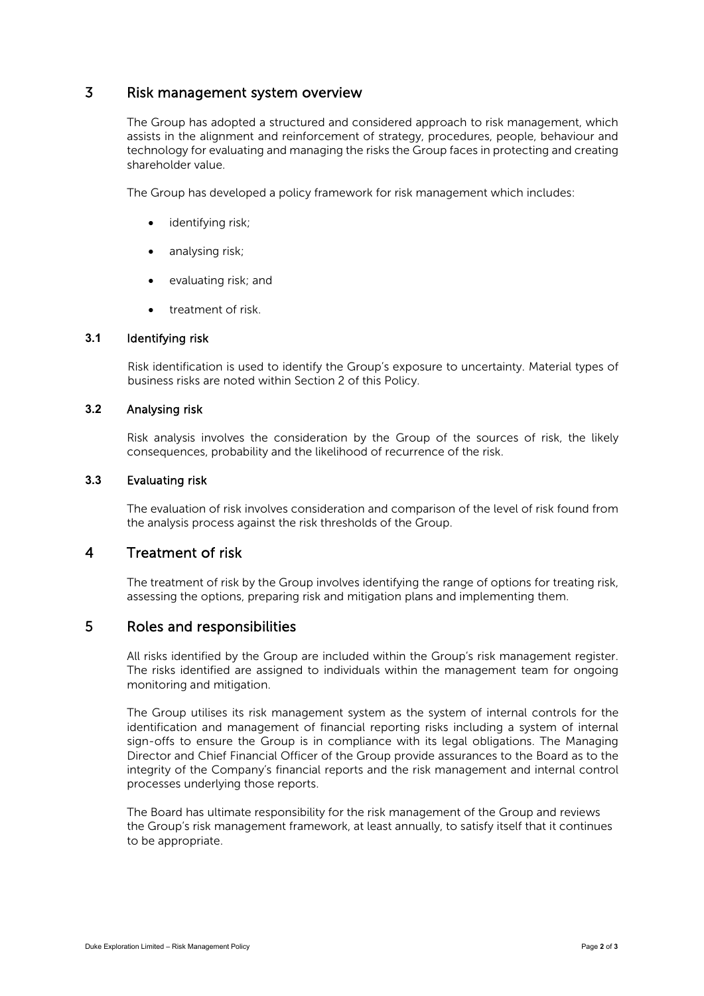## 3 Risk management system overview

The Group has adopted a structured and considered approach to risk management, which assists in the alignment and reinforcement of strategy, procedures, people, behaviour and technology for evaluating and managing the risks the Group faces in protecting and creating shareholder value.

The Group has developed a policy framework for risk management which includes:

- identifying risk:
- analysing risk;
- evaluating risk; and
- treatment of risk.

#### **3.1** Identifying risk

Risk identification is used to identify the Group's exposure to uncertainty. Material types of business risks are noted within Section 2 of this Policy.

#### **3.2** Analysing risk

Risk analysis involves the consideration by the Group of the sources of risk, the likely consequences, probability and the likelihood of recurrence of the risk.

## **3.3** Evaluating risk

The evaluation of risk involves consideration and comparison of the level of risk found from the analysis process against the risk thresholds of the Group.

# 4 Treatment of risk

The treatment of risk by the Group involves identifying the range of options for treating risk, assessing the options, preparing risk and mitigation plans and implementing them.

## 5 Roles and responsibilities

All risks identified by the Group are included within the Group's risk management register. The risks identified are assigned to individuals within the management team for ongoing monitoring and mitigation.

The Group utilises its risk management system as the system of internal controls for the identification and management of financial reporting risks including a system of internal sign-offs to ensure the Group is in compliance with its legal obligations. The Managing Director and Chief Financial Officer of the Group provide assurances to the Board as to the integrity of the Company's financial reports and the risk management and internal control processes underlying those reports.

The Board has ultimate responsibility for the risk management of the Group and reviews the Group's risk management framework, at least annually, to satisfy itself that it continues to be appropriate.